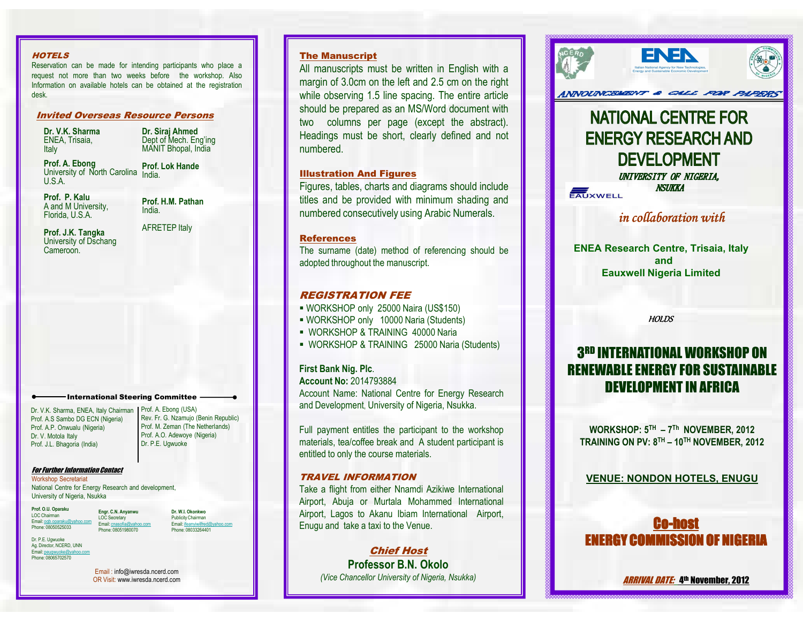#### **HOTELS**

 Reservation can be made for intending participants who place <sup>a</sup> request not more than two weeks before the workshop. Also Information on available hotels can be obtained at the registrationdesk.

## Invited Overseas Resource Persons

Dr. V.K. Sharma ENEA, Trisaia, **Italy** 

**Dr. Siraj Ahmed**<br>Dept of Mech. Eng'ing MANIT Bhopal, India

Prof. A. EbongUniversity of North Carolina India. U.S.A.Prof. Lok Hande

Prof. P. Kalu A and M University,Florida, U.S.A.

Prof. H.M. PathanIndia.

Prof. J.K. Tangka University of Dschang Cameroon.

AFRETEP Italy

International Steering Committee

Dr. V.K. Sharma, ENEA, Italy ChairmanProf. A.S Sambo DG ECN (Nigeria)Prof. A.P. Onwualu (Nigeria)Dr. V. Motola Italy Prof. J.L. Bhagoria (India)

Prof. A. Ebong (USA) Rev. Fr. G. Nzamujo (Benin Republic)Prof. M. Zeman (The Netherlands)Prof. A.O. Adewoye (Nigeria)Dr. P.E. Ugwuoke

#### For Further Information Contact

Workshop Secretariat National Centre for Energy Research and development,University of Nigeria, Nsukka

Prof. O.U. OparakuLOC Chairman<br>Email: <u>ogb.oparaku@yahoo.com</u><br>Phone: 08050525033 Phone: 08050525033Phone: 08051980070

Dr. W.I. Okonkwo Publicity ChairmanEmail: ifeanyiwilfred@yahoo.com Phone: 08033264401

Dr. P.E. Ugwuoke Ag. Director, NCERD, UNN Email: peugwuoke@yahoo.comPhone: 08065702570

> Email : info@iwresda.ncerd.comOR Visit: www.iwresda.ncerd.com

**Engr. C.N. Anyanwu**<br>LOC Secretary<br>Email: <u>cnasofia@yahoo.com</u>

### The Manuscript

All manuscripts must be written in English with <sup>a</sup> margin of 3.0cm on the left and 2.5 cm on the right while observing 1.5 line spacing. The entire article should be prepared as an MS/Word document with two columns per page (except the abstract). Headings must be short, clearly defined and not numbered.

## Illustration And Figures

Figures, tables, charts and diagrams should include titles and be provided with minimum shading andnumbered consecutively using Arabic Numerals.

#### **References**

 The surname (date) method of referencing should beadopted throughout the manuscript.

### REGISTRATION FEE

- WORKSHOP only <sup>25000</sup> Naira (US\$150)
- WORKSHOP only <sup>10000</sup> Naria (Students)
- WORKSHOP & TRAINING <sup>40000</sup> Naria
- WORKSHOP & TRAINING 25000 Naria (Students)

## First Bank Nig. Plc.

Account No: 2014793884 Account Name: National Centre for Energy Researchand Development, University of Nigeria, Nsukka.

Full payment entitles the participant to the workshop materials, tea/coffee break and A student participant isentitled to only the course materials.

#### TRAVEL INFORMATION

 Take <sup>a</sup> flight from either Nnamdi Azikiwe International Airport, Abuja or Murtala Mohammed International Airport, Lagos to Akanu Ibiam International Airport, Enugu and take <sup>a</sup> taxi to the Venue.

> Chief Host Professor B.N. Okolo(Vice Chancellor University of Nigeria, Nsukka)



# **NATIONAL CENTRE FOR ENERGY RESEARCH AND DEVELOPMENT**

UNIVERSITY OF NIGERIA, **NSIJKKA** EAUXWELL

in collaboration with

ENEA Research Centre, Trisaia, Italy andEauxwell Nigeria Limited

**HOLDS** 

# 3RD INTERNATIONAL WORKSHOP ON RENEWABLE ENERGY FOR SUSTAINABLEDEVELOPMENT IN AFRICA

WORKSHOP: 5TH – <sup>7</sup>Th NOVEMBER, 2012TRAINING ON PV: 8TH – 10TH NOVEMBER, 2012

VENUE: NONDON HOTELS, ENUGU



A*rrival Date:* 4th November, 2012